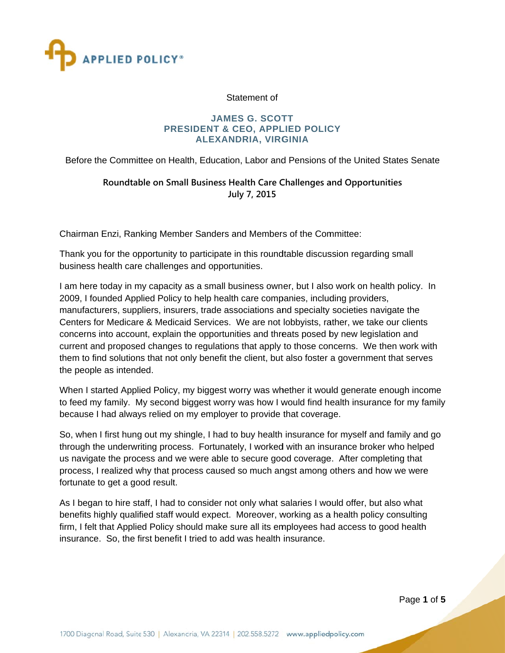

#### Statement of

#### **JAMES G. SCOTT PRESIDENT & CEO, APPLIED POLICY** ALEXANDRIA, VIRGINIA

Before the Committee on Health, Education, Labor and Pensions of the United States Senate

## Roundtable on Small Business Health Care Challenges and Opportunities July 7, 2015

Chairman Enzi, Ranking Member Sanders and Members of the Committee:

Thank you for the opportunity to participate in this roundtable discussion regarding small business health care challenges and opportunities.

I am here today in my capacity as a small business owner, but I also work on health policy. In 2009, I founded Applied Policy to help health care companies, including providers, manufacturers, suppliers, insurers, trade associations and specialty societies navigate the Centers for Medicare & Medicaid Services. We are not lobbyists, rather, we take our clients concerns into account, explain the opportunities and threats posed by new legislation and current and proposed changes to regulations that apply to those concerns. We then work with them to find solutions that not only benefit the client, but also foster a government that serves the people as intended.

When I started Applied Policy, my biggest worry was whether it would generate enough income to feed my family. My second biggest worry was how I would find health insurance for my family because I had always relied on my employer to provide that coverage.

So, when I first hung out my shingle, I had to buy health insurance for myself and family and go through the underwriting process. Fortunately, I worked with an insurance broker who helped us navigate the process and we were able to secure good coverage. After completing that process, I realized why that process caused so much angst among others and how we were fortunate to get a good result.

As I began to hire staff, I had to consider not only what salaries I would offer, but also what benefits highly qualified staff would expect. Moreover, working as a health policy consulting firm, I felt that Applied Policy should make sure all its employees had access to good health insurance. So, the first benefit I tried to add was health insurance.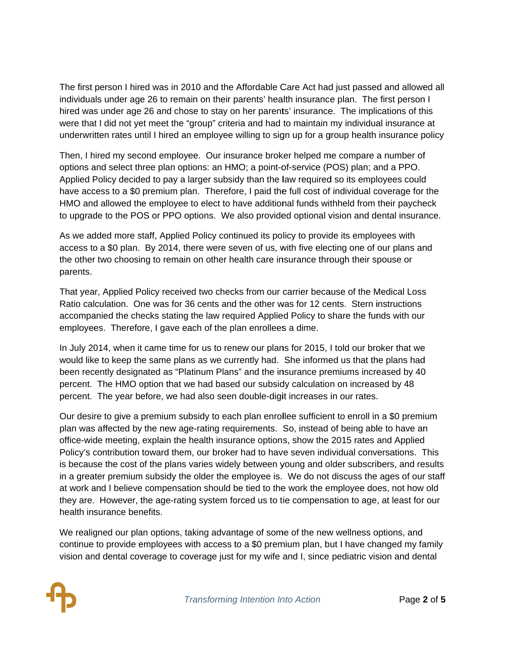The first person I hired was in 2010 and the Affordable Care Act had just passed and allowed all individuals under age 26 to remain on their parents' health insurance plan. The first person I hired was under age 26 and chose to stay on her parents' insurance. The implications of this were that I did not yet meet the "group" criteria and had to maintain my individual insurance at underwritten rates until I hired an employee willing to sign up for a group health insurance policy

Then, I hired my second employee. Our insurance broker helped me compare a number of options and select three plan options: an HMO; a point-of-service (POS) plan; and a PPO. Applied Policy decided to pay a larger subsidy than the law required so its employees could Then, I hired my second employee. Our insurance broker helped me compare a number of<br>options and select three plan options: an HMO; a point-of-service (POS) plan; and a PPO.<br>Applied Policy decided to pay a larger subsidy t HMO and allowed the employee to elect to have additional funds withheld from their paycheck to upgrade to the POS or PPO options. We also provided optional vision and dental insurance.

As we added more staff, Applied Policy continued its policy to provide its employees with access to a \$0 plan. By 2014, there were seven of us, with five electing one of our plans and the other two choosing to remain on other health care insurance through their spouse or parents.

That year, Applied Policy received two checks from our carrier because of the Medical Loss Ratio calculation. One was for 36 cents and the other was for 12 cents. Stern instructions accompanied the checks stating the law required Applied Policy to share the funds with our employees. Therefore, I gave each of the plan enrollees a dime.

In July 2014, when it came time for us to renew our plans for 2015, I told our broker that we would like to keep the same plans as we currently had. She informed us that the plans had been recently designated as "Platinum Plans" and the insurance premiums increased by 40 percent. The HMO option that we had based our subsidy calculation on increased by 48 percent. The year before, we had also seen double-digit increases in our rates. iss<br>ir<br>ded0<br>nium

percent. The year before, we had also seen double-digit increases in our rates.<br>Our desire to give a premium subsidy to each plan enrollee sufficient to enroll in a \$0 premi plan was affected by the new age-rating requirements. So, instead of being able to have an office-wide meeting, explain the health insurance options, show the 2015 rates and Applied plan was affected by the new age-rating requirements. So, instead of being able to have an<br>office-wide meeting, explain the health insurance options, show the 2015 rates and Applied<br>Policy's contribution toward them, our is because the cost of the plans varies widely between young and older subscribers, and results in a greater premium subsidy the older the employee is. We do not discuss the ages of our staff at work and I believe compensation should be tied to the work the employee does, not how old they are. However, the age-rating system forced us to tie compensation to age, at least for our health insurance benefits.

We realigned our plan options, taking advantage of some of the new wellness options, and continue to provide employees with access to a \$0 premium plan, but I have changed my family vision and dental coverage to coverage just for my wife and I, since pediatric vision and dental

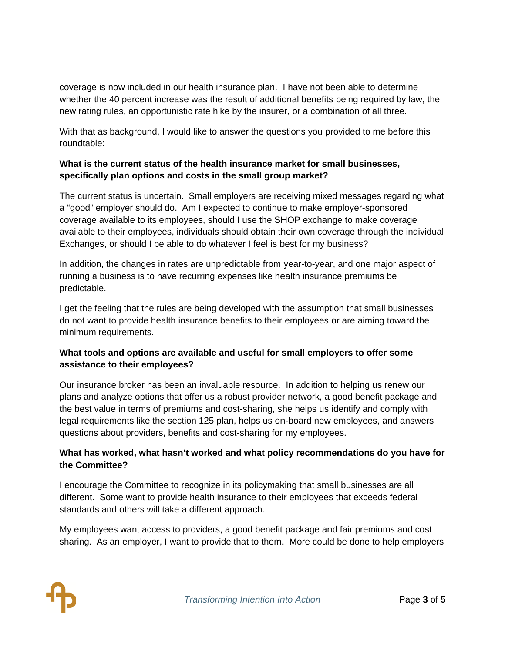coverage is now included in our health insurance plan. I have not been able to determine whether the 40 percent increase was the result of additional benefits being required by law, the new rating rules, an opportunistic rate hike by the insurer, or a combination of all three.

With that as background, I would like to answer the questions you provided to me before this roundtable:

## What is the current status of the health insurance market for small businesses, specifically plan options and costs in the small group market?

The current status is uncertain. Small employers are receiving mixed messages regarding what a "good" employer should do. Am I expected to continue to make employer-sponsored coverage available to its employees, should I use the SHOP exchange to make coverage available to their employees, individuals should obtain their own coverage through the individual Exchanges, or should I be able to do whatever I feel is best for my business?

In addition, the changes in rates are unpredictable from year-to-year, and one major aspect of running a business is to have recurring expenses like health insurance premiums be predictable.

I get the feeling that the rules are being developed with the assumption that small businesses do not want to provide health insurance benefits to their employees or are aiming toward the minimum requirements.

# What tools and options are available and useful for small employers to offer some assistance to their employees?

Our insurance broker has been an invaluable resource. In addition to helping us renew our plans and analyze options that offer us a robust provider network, a good benefit package and the best value in terms of premiums and cost-sharing, she helps us identify and comply with legal requirements like the section 125 plan, helps us on-board new employees, and answers questions about providers, benefits and cost-sharing for my employees.

## What has worked, what hasn't worked and what policy recommendations do you have for the Committee?

I encourage the Committee to recognize in its policymaking that small businesses are all different. Some want to provide health insurance to their employees that exceeds federal standards and others will take a different approach.

My employees want access to providers, a good benefit package and fair premiums and cost sharing. As an employer, I want to provide that to them. More could be done to help employers

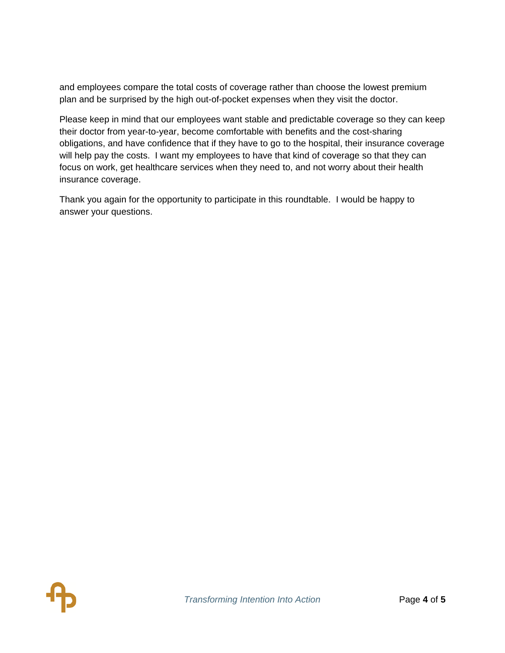and employees compare the total costs of coverage rather than choose the lowest premium plan and be surprised by the high out-of-pocket expenses when they visit the doctor.

Please keep in mind that our employees want stable and predictable coverage so they can keep their doctor from year-to-year, become comfortable with benefits and the cost-sharing obligations, and have confidence that if they have to go to the hospital, their insurance coverage will help pay the costs. I want my employees to have that kind of coverage so that they can focus on work, get healthcare services when they need to, and not worry about their health insurance coverage.

Thank you again for the opportunity to participate in this roundtable. I would be happy to answer your questions.